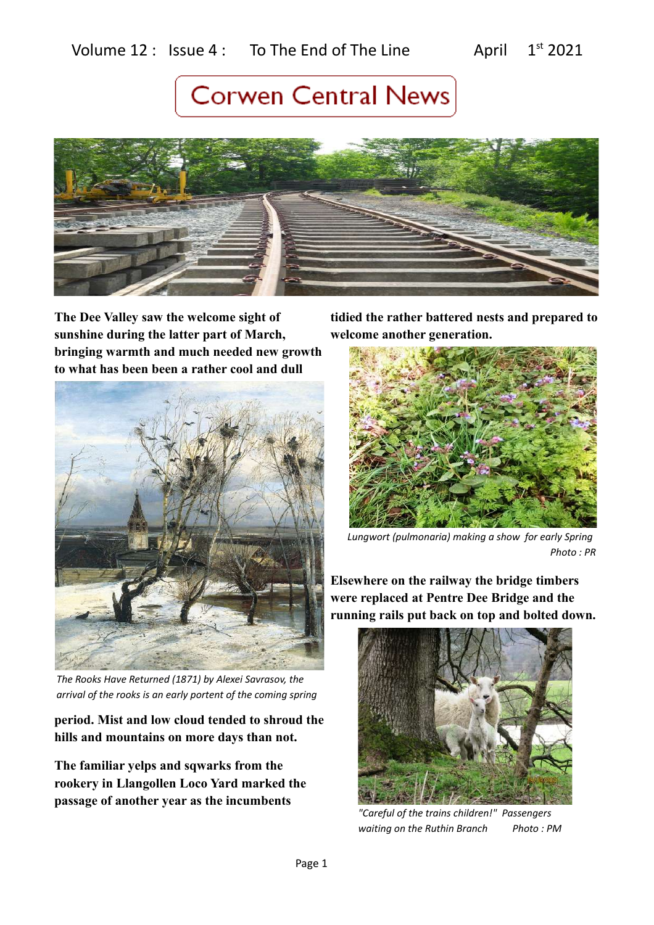### Volume  $12$  : Issue  $4$  : To The End of The Line April  $1^{st}$  2021

# **Corwen Central News**



**The Dee Valley saw the welcome sight of sunshine during the latter part of March, bringing warmth and much needed new growth to what has been been a rather cool and dull** 



*The Rooks Have Returned (1871) by Alexei Savrasov, the arrival of the rooks is an early portent of the coming spring*

**period. Mist and low cloud tended to shroud the hills and mountains on more days than not.** 

**The familiar yelps and sqwarks from the rookery in Llangollen Loco Yard marked the passage of another year as the incumbents** 

**tidied the rather battered nests and prepared to welcome another generation.** 



*Lungwort (pulmonaria) making a show for early Spring Photo : PR*

**Elsewhere on the railway the bridge timbers were replaced at Pentre Dee Bridge and the running rails put back on top and bolted down.** 



*"Careful of the trains children!" Passengers waiting on the Ruthin Branch Photo : PM*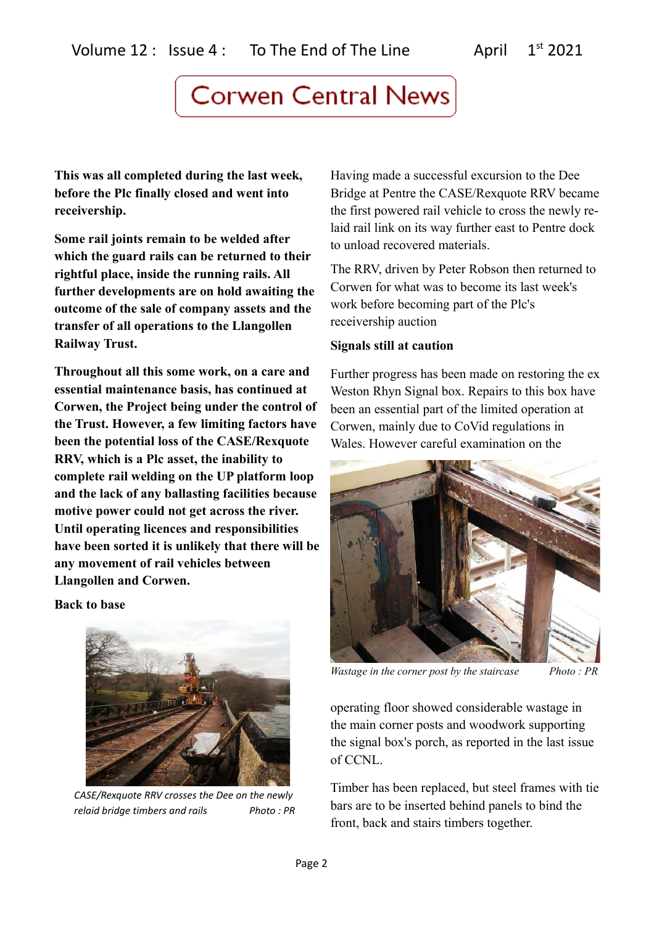**This was all completed during the last week, before the Plc finally closed and went into receivership.** 

**Some rail joints remain to be welded after which the guard rails can be returned to their rightful place, inside the running rails. All further developments are on hold awaiting the outcome of the sale of company assets and the transfer of all operations to the Llangollen Railway Trust.**

**Throughout all this some work, on a care and essential maintenance basis, has continued at Corwen, the Project being under the control of the Trust. However, a few limiting factors have been the potential loss of the CASE/Rexquote RRV, which is a Plc asset, the inability to complete rail welding on the UP platform loop and the lack of any ballasting facilities because motive power could not get across the river. Until operating licences and responsibilities have been sorted it is unlikely that there will be any movement of rail vehicles between Llangollen and Corwen.**

**Back to base**



*CASE/Rexquote RRV crosses the Dee on the newly relaid bridge timbers and rails Photo : PR*

Having made a successful excursion to the Dee Bridge at Pentre the CASE/Rexquote RRV became the first powered rail vehicle to cross the newly relaid rail link on its way further east to Pentre dock to unload recovered materials.

The RRV, driven by Peter Robson then returned to Corwen for what was to become its last week's work before becoming part of the Plc's receivership auction

### **Signals still at caution**

Further progress has been made on restoring the ex Weston Rhyn Signal box. Repairs to this box have been an essential part of the limited operation at Corwen, mainly due to CoVid regulations in Wales. However careful examination on the



*Wastage in the corner post by the staircase Photo : PR*

operating floor showed considerable wastage in the main corner posts and woodwork supporting the signal box's porch, as reported in the last issue of CCNL.

Timber has been replaced, but steel frames with tie bars are to be inserted behind panels to bind the front, back and stairs timbers together.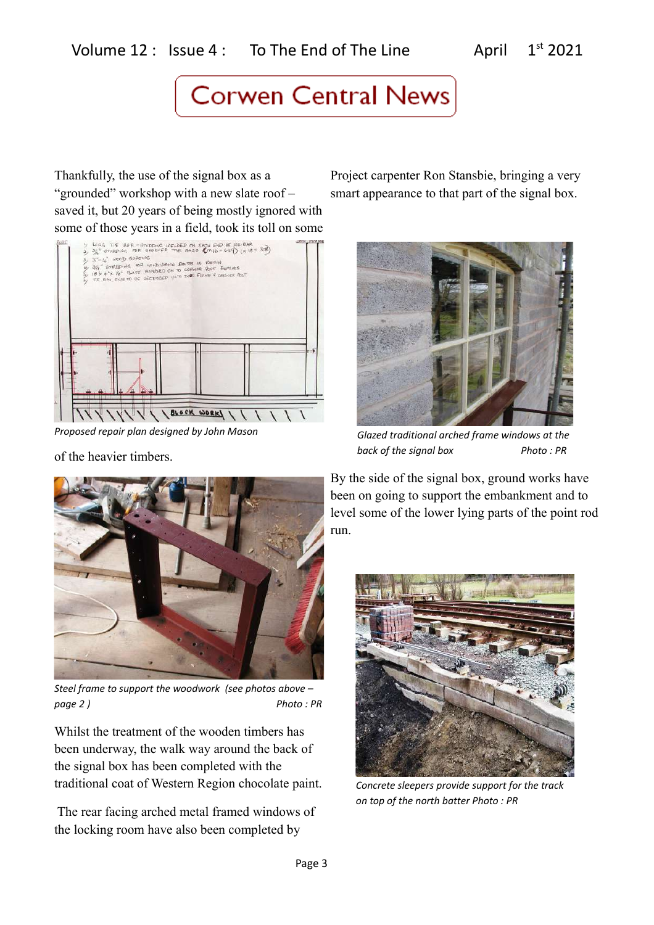Thankfully, the use of the signal box as a "grounded" workshop with a new slate roof – saved it, but 20 years of being mostly ignored with some of those years in a field, took its toll on some



*Proposed repair plan designed by John Mason* 

of the heavier timbers.

Project carpenter Ron Stansbie, bringing a very smart appearance to that part of the signal box.



*Glazed traditional arched frame windows at the back of the signal box Photo : PR*



*Steel frame to support the woodwork (see photos above – page 2 ) Photo : PR*

Whilst the treatment of the wooden timbers has been underway, the walk way around the back of the signal box has been completed with the traditional coat of Western Region chocolate paint.

 The rear facing arched metal framed windows of the locking room have also been completed by

By the side of the signal box, ground works have been on going to support the embankment and to level some of the lower lying parts of the point rod run.



*Concrete sleepers provide support for the track on top of the north batter Photo : PR*

Page 3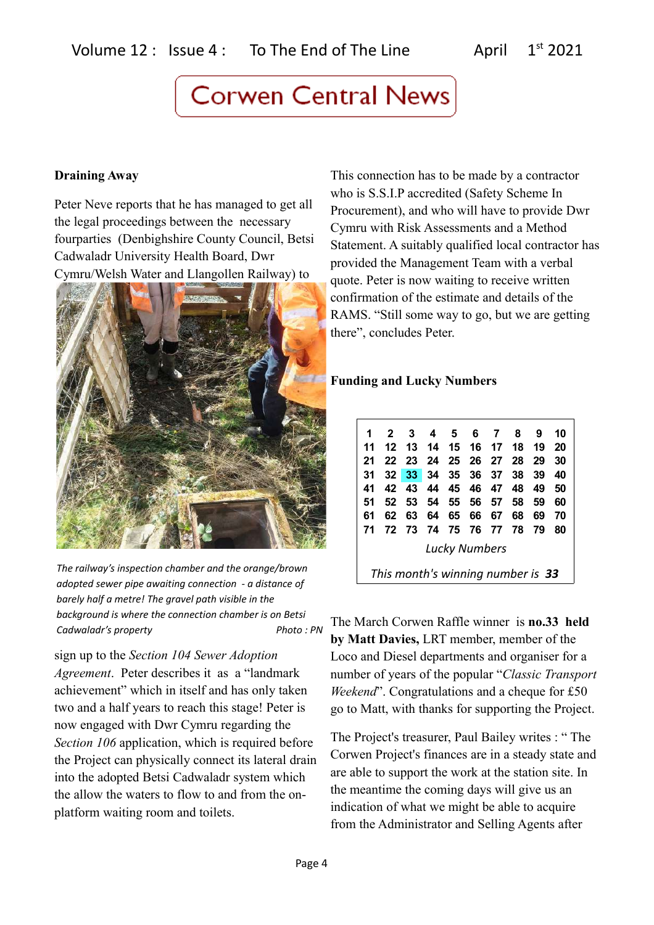### **Draining Away**

Peter Neve reports that he has managed to get all the legal proceedings between the necessary fourparties (Denbighshire County Council, Betsi Cadwaladr University Health Board, Dwr Cymru/Welsh Water and Llangollen Railway) to



*The railway's inspection chamber and the orange/brown adopted sewer pipe awaiting connection - a distance of barely half a metre! The gravel path visible in the background is where the connection chamber is on Betsi Cadwaladr's property Photo : PN*

sign up to the *Section 104 Sewer Adoption Agreement*. Peter describes it as a "landmark achievement" which in itself and has only taken two and a half years to reach this stage! Peter is now engaged with Dwr Cymru regarding the *Section 106* application, which is required before the Project can physically connect its lateral drain into the adopted Betsi Cadwaladr system which the allow the waters to flow to and from the onplatform waiting room and toilets.

This connection has to be made by a contractor who is S.S.I.P accredited (Safety Scheme In Procurement), and who will have to provide Dwr Cymru with Risk Assessments and a Method Statement. A suitably qualified local contractor has provided the Management Team with a verbal quote. Peter is now waiting to receive written confirmation of the estimate and details of the RAMS. "Still some way to go, but we are getting there", concludes Peter.

### **Funding and Lucky Numbers**

| 1                                 |         | $2 \quad 3$ |      |    |    | 4 5 6 7              | 8  | -9   | 10 |
|-----------------------------------|---------|-------------|------|----|----|----------------------|----|------|----|
| 11                                | $12 \,$ |             |      |    |    | 13 14 15 16 17 18    |    | - 19 | 20 |
| 21                                | 22      | - 23        |      |    |    | 24 25 26 27 28       |    | -29  | 30 |
| 31                                |         |             |      |    |    | 32 33 34 35 36 37    | 38 | 39   | 40 |
| 41                                |         |             |      |    |    | 42 43 44 45 46 47 48 |    | 49   | 50 |
| 51                                | 52      | - 53        | - 54 |    |    | 55 56 57             | 58 | -59  | 60 |
| 61                                | 62      | 63          | 64   | 65 | 66 | 67                   | 68 | 69   | 70 |
| 71                                | 72.     | 73 74       |      |    |    | 75 76 77 78          |    | 79   | 80 |
| <b>Lucky Numbers</b>              |         |             |      |    |    |                      |    |      |    |
| This month's winning number is 33 |         |             |      |    |    |                      |    |      |    |

The March Corwen Raffle winner is **no.33 held by Matt Davies,** LRT member, member of the Loco and Diesel departments and organiser for a number of years of the popular "*Classic Transport Weekend*". Congratulations and a cheque for £50 go to Matt, with thanks for supporting the Project.

The Project's treasurer, Paul Bailey writes : " The Corwen Project's finances are in a steady state and are able to support the work at the station site. In the meantime the coming days will give us an indication of what we might be able to acquire from the Administrator and Selling Agents after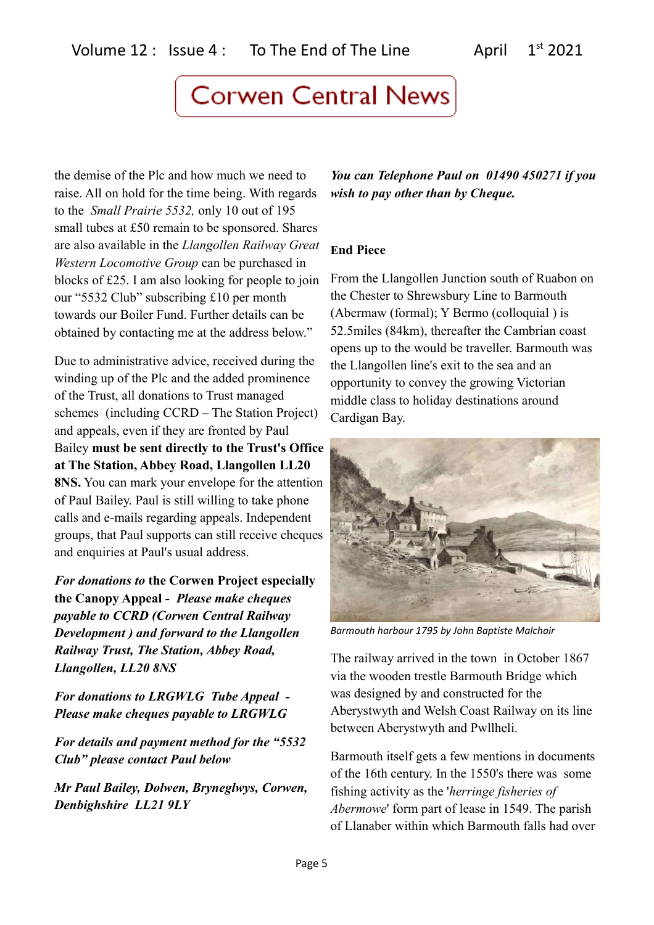the demise of the Plc and how much we need to raise. All on hold for the time being. With regards to the *Small Prairie 5532,* only 10 out of 195 small tubes at £50 remain to be sponsored. Shares are also available in the *Llangollen Railway Great Western Locomotive Group* can be purchased in blocks of £25. I am also looking for people to join our "5532 Club" subscribing £10 per month towards our Boiler Fund. Further details can be obtained by contacting me at the address below."

Due to administrative advice, received during the winding up of the Plc and the added prominence of the Trust, all donations to Trust managed schemes (including CCRD – The Station Project) and appeals, even if they are fronted by Paul Bailey **must be sent directly to the Trust's Office at The Station, Abbey Road, Llangollen LL20 8NS.** You can mark your envelope for the attention of Paul Bailey. Paul is still willing to take phone calls and e-mails regarding appeals. Independent groups, that Paul supports can still receive cheques and enquiries at Paul's usual address.

*For donations to* **the Corwen Project especially the Canopy Appeal -** *Please make cheques payable to CCRD (Corwen Central Railway Development ) and forward to the Llangollen Railway Trust, The Station, Abbey Road, Llangollen, LL20 8NS*

*For donations to LRGWLG Tube Appeal - Please make cheques payable to LRGWLG* 

*For details and payment method for the "5532 Club" please contact Paul below*

*Mr Paul Bailey, Dolwen, Bryneglwys, Corwen, Denbighshire LL21 9LY* 

*You can Telephone Paul on 01490 450271 if you wish to pay other than by Cheque.*

### **End Piece**

From the Llangollen Junction south of Ruabon on the Chester to Shrewsbury Line to Barmouth (Abermaw (formal); Y Bermo (colloquial ) is 52.5miles (84km), thereafter the Cambrian coast opens up to the would be traveller. Barmouth was the Llangollen line's exit to the sea and an opportunity to convey the growing Victorian middle class to holiday destinations around Cardigan Bay.



*Barmouth harbour 1795 by John Baptiste Malchair*

The railway arrived in the town in October 1867 via the wooden trestle Barmouth Bridge which was designed by and constructed for the Aberystwyth and Welsh Coast Railway on its line between Aberystwyth and Pwllheli.

Barmouth itself gets a few mentions in documents of the 16th century. In the 1550's there was some fishing activity as the '*herringe fisheries of Abermowe*' form part of lease in 1549. The parish of Llanaber within which Barmouth falls had over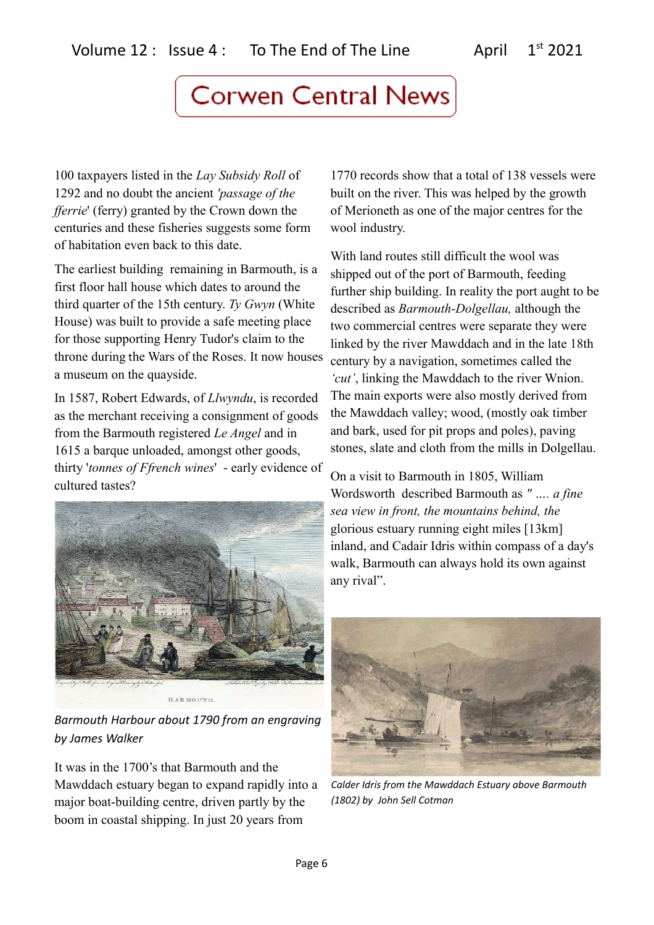100 taxpayers listed in the *Lay Subsidy Roll* of 1292 and no doubt the ancient *'passage of the fferrie*' (ferry) granted by the Crown down the centuries and these fisheries suggests some form of habitation even back to this date.

The earliest building remaining in Barmouth, is a first floor hall house which dates to around the third quarter of the 15th century. *Ty Gwyn* (White House) was built to provide a safe meeting place for those supporting Henry Tudor's claim to the throne during the Wars of the Roses. It now houses a museum on the quayside.

In 1587, Robert Edwards, of *Llwyndu*, is recorded as the merchant receiving a consignment of goods from the Barmouth registered *Le Angel* and in 1615 a barque unloaded, amongst other goods, thirty '*tonnes of Ffrench wines*' - early evidence of cultured tastes?



*Barmouth Harbour about 1790 from an engraving by James Walker*

It was in the 1700's that Barmouth and the Mawddach estuary began to expand rapidly into a major boat-building centre, driven partly by the boom in coastal shipping. In just 20 years from

1770 records show that a total of 138 vessels were built on the river. This was helped by the growth of Merioneth as one of the major centres for the wool industry.

With land routes still difficult the wool was shipped out of the port of Barmouth, feeding further ship building. In reality the port aught to be described as *Barmouth-Dolgellau,* although the two commercial centres were separate they were linked by the river Mawddach and in the late 18th century by a navigation, sometimes called the *'cut'*, linking the Mawddach to the river Wnion. The main exports were also mostly derived from the Mawddach valley; wood, (mostly oak timber and bark, used for pit props and poles), paving stones, slate and cloth from the mills in Dolgellau.

On a visit to Barmouth in 1805, William Wordsworth described Barmouth as *" …. a fine sea view in front, the mountains behind, the*  glorious estuary running eight miles [13km] inland, and Cadair Idris within compass of a day's walk, Barmouth can always hold its own against any rival".



*Calder Idris from the Mawddach Estuary above Barmouth (1802) by John Sell Cotman*